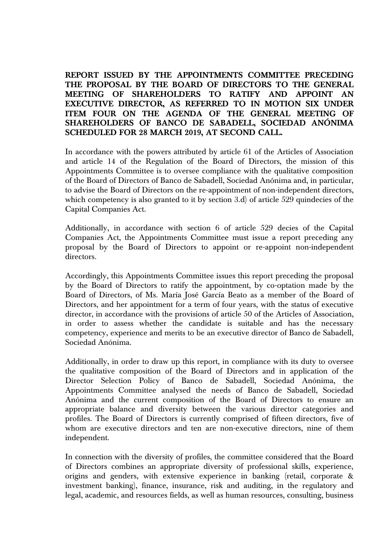**REPORT ISSUED BY THE APPOINTMENTS COMMITTEE PRECEDING THE PROPOSAL BY THE BOARD OF DIRECTORS TO THE GENERAL MEETING OF SHAREHOLDERS TO RATIFY AND APPOINT AN EXECUTIVE DIRECTOR, AS REFERRED TO IN MOTION SIX UNDER**  ITEM FOUR ON THE AGENDA OF THE GENERAL MEETING OF **SHAREHOLDERS OF BANCO DE SABADELL, SOCIEDAD ANÓNIMA SCHEDULED FOR 28 MARCH 2019, AT SECOND CALL.**

In accordance with the powers attributed by article 61 of the Articles of Association and article 14 of the Regulation of the Board of Directors, the mission of this Appointments Committee is to oversee compliance with the qualitative composition of the Board of Directors of Banco de Sabadell, Sociedad Anónima and, in particular, to advise the Board of Directors on the re-appointment of non-independent directors, which competency is also granted to it by section 3.d) of article 529 quindecies of the Capital Companies Act.

Additionally, in accordance with section 6 of article 529 decies of the Capital Companies Act, the Appointments Committee must issue a report preceding any proposal by the Board of Directors to appoint or re-appoint non-independent directors.

Accordingly, this Appointments Committee issues this report preceding the proposal by the Board of Directors to ratify the appointment, by co-optation made by the Board of Directors, of Ms. María José García Beato as a member of the Board of Directors, and her appointment for a term of four years, with the status of executive director, in accordance with the provisions of article 50 of the Articles of Association, in order to assess whether the candidate is suitable and has the necessary competency, experience and merits to be an executive director of Banco de Sabadell, Sociedad Anónima.

Additionally, in order to draw up this report, in compliance with its duty to oversee the qualitative composition of the Board of Directors and in application of the Director Selection Policy of Banco de Sabadell, Sociedad Anónima, the Appointments Committee analysed the needs of Banco de Sabadell, Sociedad Anónima and the current composition of the Board of Directors to ensure an appropriate balance and diversity between the various director categories and profiles. The Board of Directors is currently comprised of fifteen directors, five of whom are executive directors and ten are non-executive directors, nine of them independent.

In connection with the diversity of profiles, the committee considered that the Board of Directors combines an appropriate diversity of professional skills, experience, origins and genders, with extensive experience in banking (retail, corporate & investment banking), finance, insurance, risk and auditing, in the regulatory and legal, academic, and resources fields, as well as human resources, consulting, business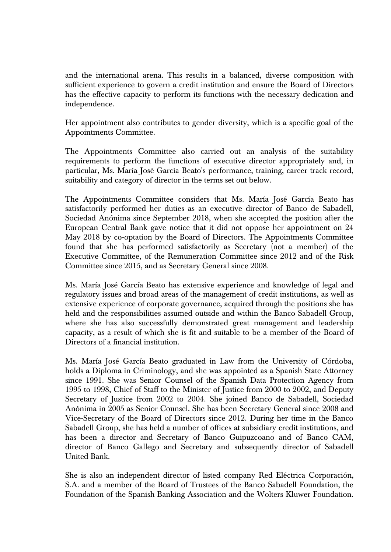and the international arena. This results in a balanced, diverse composition with sufficient experience to govern a credit institution and ensure the Board of Directors has the effective capacity to perform its functions with the necessary dedication and independence.

Her appointment also contributes to gender diversity, which is a specific goal of the Appointments Committee.

The Appointments Committee also carried out an analysis of the suitability requirements to perform the functions of executive director appropriately and, in particular, Ms. María José García Beato's performance, training, career track record, suitability and category of director in the terms set out below.

The Appointments Committee considers that Ms. María José García Beato has satisfactorily performed her duties as an executive director of Banco de Sabadell, Sociedad Anónima since September 2018, when she accepted the position after the European Central Bank gave notice that it did not oppose her appointment on 24 May 2018 by co-optation by the Board of Directors. The Appointments Committee found that she has performed satisfactorily as Secretary (not a member) of the Executive Committee, of the Remuneration Committee since 2012 and of the Risk Committee since 2015, and as Secretary General since 2008.

Ms. María José García Beato has extensive experience and knowledge of legal and regulatory issues and broad areas of the management of credit institutions, as well as extensive experience of corporate governance, acquired through the positions she has held and the responsibilities assumed outside and within the Banco Sabadell Group, where she has also successfully demonstrated great management and leadership capacity, as a result of which she is fit and suitable to be a member of the Board of Directors of a financial institution.

Ms. María José García Beato graduated in Law from the University of Córdoba, holds a Diploma in Criminology, and she was appointed as a Spanish State Attorney since 1991. She was Senior Counsel of the Spanish Data Protection Agency from 1995 to 1998, Chief of Staff to the Minister of Justice from 2000 to 2002, and Deputy Secretary of Justice from 2002 to 2004. She joined Banco de Sabadell, Sociedad Anónima in 2005 as Senior Counsel. She has been Secretary General since 2008 and Vice-Secretary of the Board of Directors since 2012. During her time in the Banco Sabadell Group, she has held a number of offices at subsidiary credit institutions, and has been a director and Secretary of Banco Guipuzcoano and of Banco CAM, director of Banco Gallego and Secretary and subsequently director of Sabadell United Bank.

She is also an independent director of listed company Red Eléctrica Corporación, S.A. and a member of the Board of Trustees of the Banco Sabadell Foundation, the Foundation of the Spanish Banking Association and the Wolters Kluwer Foundation.